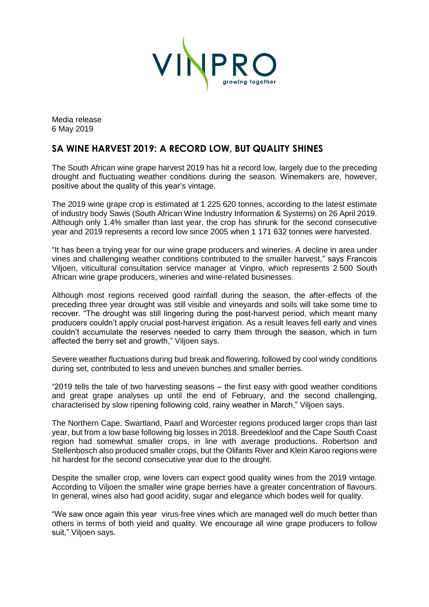

Media release 6 May 2019

## **SA WINE HARVEST 2019: A RECORD LOW, BUT QUALITY SHINES**

The South African wine grape harvest 2019 has hit a record low, largely due to the preceding drought and fluctuating weather conditions during the season. Winemakers are, however, positive about the quality of this year's vintage.

The 2019 wine grape crop is estimated at 1 225 620 tonnes, according to the latest estimate of industry body Sawis (South African Wine Industry Information & Systems) on 26 April 2019. Although only 1.4% smaller than last year, the crop has shrunk for the second consecutive year and 2019 represents a record low since 2005 when 1 171 632 tonnes were harvested.

"It has been a trying year for our wine grape producers and wineries. A decline in area under vines and challenging weather conditions contributed to the smaller harvest," says Francois Viljoen, viticultural consultation service manager at Vinpro, which represents 2 500 South African wine grape producers, wineries and wine-related businesses.

Although most regions received good rainfall during the season, the after-effects of the preceding three year drought was still visible and vineyards and soils will take some time to recover. "The drought was still lingering during the post-harvest period, which meant many producers couldn't apply crucial post-harvest irrigation. As a result leaves fell early and vines couldn't accumulate the reserves needed to carry them through the season, which in turn affected the berry set and growth," Viljoen says.

Severe weather fluctuations during bud break and flowering, followed by cool windy conditions during set, contributed to less and uneven bunches and smaller berries.

"2019 tells the tale of two harvesting seasons – the first easy with good weather conditions and great grape analyses up until the end of February, and the second challenging, characterised by slow ripening following cold, rainy weather in March," Viljoen says.

The Northern Cape, Swartland, Paarl and Worcester regions produced larger crops than last year, but from a low base following big losses in 2018. Breedekloof and the Cape South Coast region had somewhat smaller crops, in line with average productions. Robertson and Stellenbosch also produced smaller crops, but the Olifants River and Klein Karoo regions were hit hardest for the second consecutive year due to the drought.

Despite the smaller crop, wine lovers can expect good quality wines from the 2019 vintage. According to Viljoen the smaller wine grape berries have a greater concentration of flavours. In general, wines also had good acidity, sugar and elegance which bodes well for quality.

"We saw once again this year virus-free vines which are managed well do much better than others in terms of both yield and quality. We encourage all wine grape producers to follow suit," Viljoen says.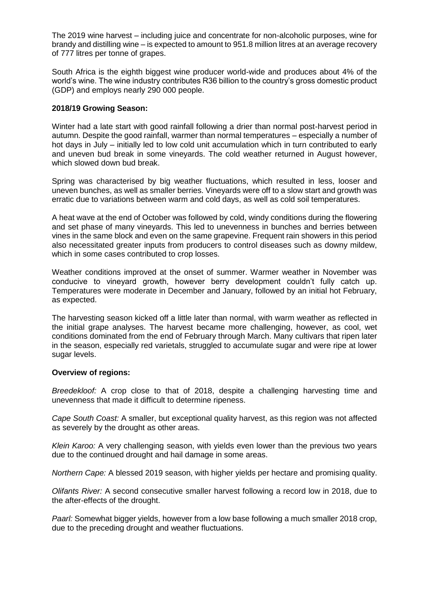The 2019 wine harvest – including juice and concentrate for non-alcoholic purposes, wine for brandy and distilling wine – is expected to amount to 951.8 million litres at an average recovery of 777 litres per tonne of grapes.

South Africa is the eighth biggest wine producer world-wide and produces about 4% of the world's wine. The wine industry contributes R36 billion to the country's gross domestic product (GDP) and employs nearly 290 000 people.

## **2018/19 Growing Season:**

Winter had a late start with good rainfall following a drier than normal post-harvest period in autumn. Despite the good rainfall, warmer than normal temperatures – especially a number of hot days in July – initially led to low cold unit accumulation which in turn contributed to early and uneven bud break in some vineyards. The cold weather returned in August however, which slowed down bud break.

Spring was characterised by big weather fluctuations, which resulted in less, looser and uneven bunches, as well as smaller berries. Vineyards were off to a slow start and growth was erratic due to variations between warm and cold days, as well as cold soil temperatures.

A heat wave at the end of October was followed by cold, windy conditions during the flowering and set phase of many vineyards. This led to unevenness in bunches and berries between vines in the same block and even on the same grapevine. Frequent rain showers in this period also necessitated greater inputs from producers to control diseases such as downy mildew, which in some cases contributed to crop losses.

Weather conditions improved at the onset of summer. Warmer weather in November was conducive to vineyard growth, however berry development couldn't fully catch up. Temperatures were moderate in December and January, followed by an initial hot February, as expected.

The harvesting season kicked off a little later than normal, with warm weather as reflected in the initial grape analyses. The harvest became more challenging, however, as cool, wet conditions dominated from the end of February through March. Many cultivars that ripen later in the season, especially red varietals, struggled to accumulate sugar and were ripe at lower sugar levels.

## **Overview of regions:**

*Breedekloof:* A crop close to that of 2018, despite a challenging harvesting time and unevenness that made it difficult to determine ripeness.

*Cape South Coast:* A smaller, but exceptional quality harvest, as this region was not affected as severely by the drought as other areas.

*Klein Karoo:* A very challenging season, with yields even lower than the previous two years due to the continued drought and hail damage in some areas.

*Northern Cape:* A blessed 2019 season, with higher yields per hectare and promising quality.

*Olifants River:* A second consecutive smaller harvest following a record low in 2018, due to the after-effects of the drought.

*Paarl:* Somewhat bigger yields, however from a low base following a much smaller 2018 crop, due to the preceding drought and weather fluctuations.